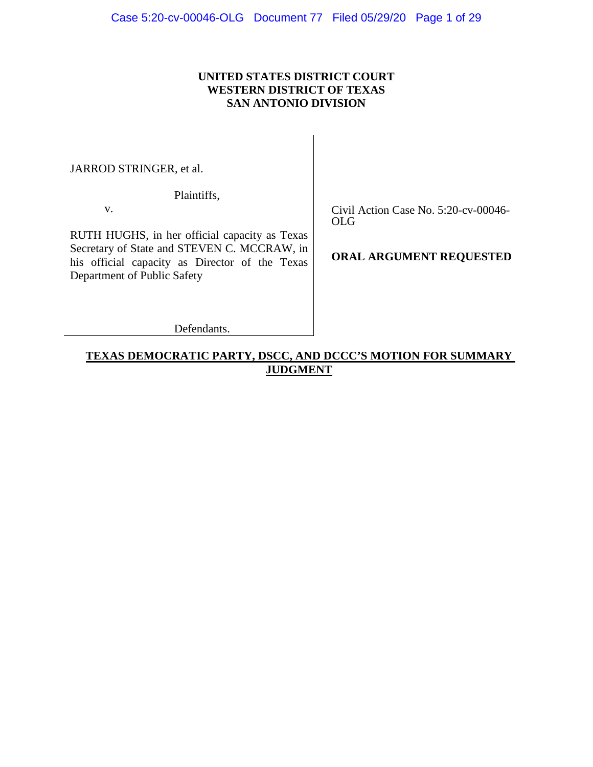## **UNITED STATES DISTRICT COURT WESTERN DISTRICT OF TEXAS SAN ANTONIO DIVISION**

JARROD STRINGER, et al.

Plaintiffs,

v.

RUTH HUGHS, in her official capacity as Texas Secretary of State and STEVEN C. MCCRAW, in his official capacity as Director of the Texas Department of Public Safety

Civil Action Case No. 5:20-cv-00046- OLG

**ORAL ARGUMENT REQUESTED**

Defendants.

## **TEXAS DEMOCRATIC PARTY, DSCC, AND DCCC'S MOTION FOR SUMMARY JUDGMENT**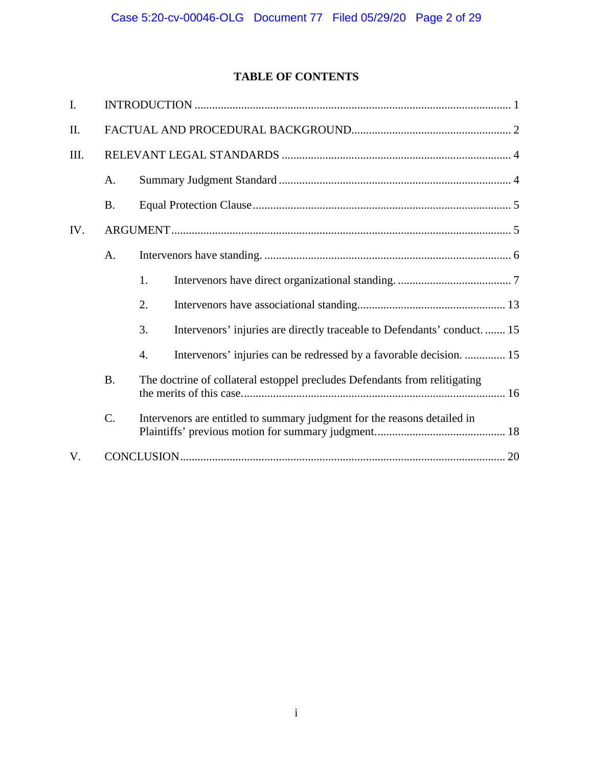# **TABLE OF CONTENTS**

| I.   |                 |                                                                            |                                                                          |  |  |  |
|------|-----------------|----------------------------------------------------------------------------|--------------------------------------------------------------------------|--|--|--|
| II.  |                 |                                                                            |                                                                          |  |  |  |
| III. |                 |                                                                            |                                                                          |  |  |  |
|      | A.              |                                                                            |                                                                          |  |  |  |
|      | <b>B.</b>       |                                                                            |                                                                          |  |  |  |
| IV.  |                 |                                                                            |                                                                          |  |  |  |
|      | A.              |                                                                            |                                                                          |  |  |  |
|      |                 | 1.                                                                         |                                                                          |  |  |  |
|      |                 | 2.                                                                         |                                                                          |  |  |  |
|      |                 | 3.                                                                         | Intervenors' injuries are directly traceable to Defendants' conduct.  15 |  |  |  |
|      |                 | $\overline{4}$ .                                                           | Intervenors' injuries can be redressed by a favorable decision.  15      |  |  |  |
|      | <b>B.</b>       | The doctrine of collateral estoppel precludes Defendants from relitigating |                                                                          |  |  |  |
|      | $\mathcal{C}$ . |                                                                            | Intervenors are entitled to summary judgment for the reasons detailed in |  |  |  |
| V.   |                 |                                                                            |                                                                          |  |  |  |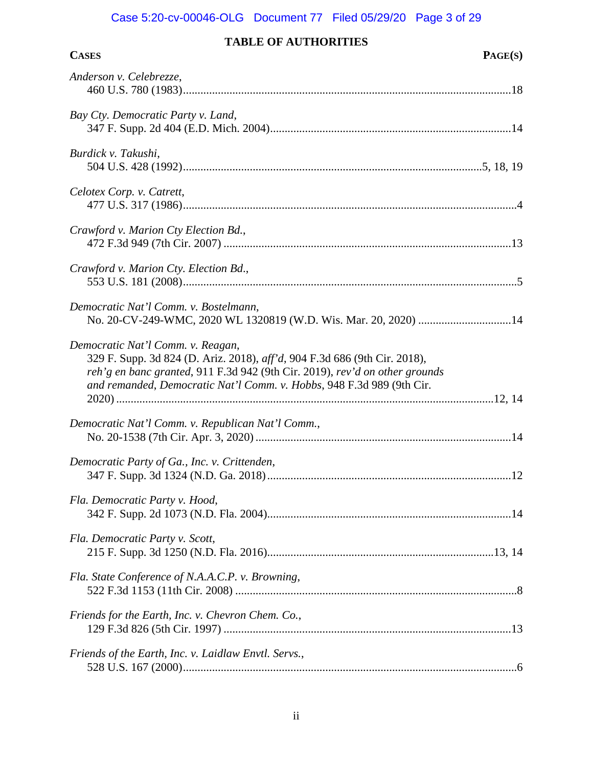# Case 5:20-cv-00046-OLG Document 77 Filed 05/29/20 Page 3 of 29

# **TABLE OF AUTHORITIES**

| <b>CASES</b> | PAGE(S) |
|--------------|---------|
|--------------|---------|

| Anderson v. Celebrezze,                                                                                                                                                                                                                                                |  |
|------------------------------------------------------------------------------------------------------------------------------------------------------------------------------------------------------------------------------------------------------------------------|--|
| Bay Cty. Democratic Party v. Land,                                                                                                                                                                                                                                     |  |
| Burdick v. Takushi,                                                                                                                                                                                                                                                    |  |
| Celotex Corp. v. Catrett,                                                                                                                                                                                                                                              |  |
| Crawford v. Marion Cty Election Bd.,                                                                                                                                                                                                                                   |  |
| Crawford v. Marion Cty. Election Bd.,                                                                                                                                                                                                                                  |  |
| Democratic Nat'l Comm. v. Bostelmann,<br>No. 20-CV-249-WMC, 2020 WL 1320819 (W.D. Wis. Mar. 20, 2020) 14                                                                                                                                                               |  |
| Democratic Nat'l Comm. v. Reagan,<br>329 F. Supp. 3d 824 (D. Ariz. 2018), aff'd, 904 F.3d 686 (9th Cir. 2018),<br>reh'g en banc granted, 911 F.3d 942 (9th Cir. 2019), rev'd on other grounds<br>and remanded, Democratic Nat'l Comm. v. Hobbs, 948 F.3d 989 (9th Cir. |  |
| Democratic Nat'l Comm. v. Republican Nat'l Comm.,                                                                                                                                                                                                                      |  |
| Democratic Party of Ga., Inc. v. Crittenden,                                                                                                                                                                                                                           |  |
| Fla. Democratic Party v. Hood,                                                                                                                                                                                                                                         |  |
| Fla. Democratic Party v. Scott,                                                                                                                                                                                                                                        |  |
| Fla. State Conference of N.A.A.C.P. v. Browning,                                                                                                                                                                                                                       |  |
| Friends for the Earth, Inc. v. Chevron Chem. Co.,                                                                                                                                                                                                                      |  |
| Friends of the Earth, Inc. v. Laidlaw Envtl. Servs.,                                                                                                                                                                                                                   |  |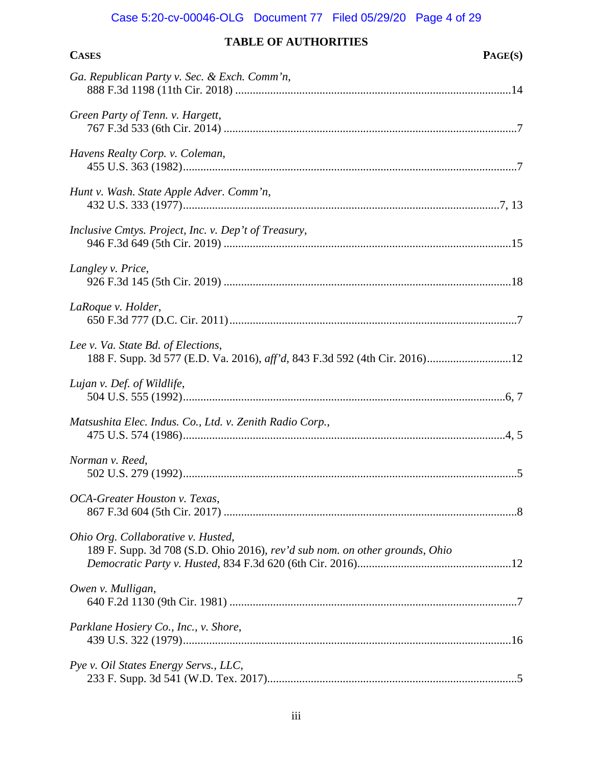# Case 5:20-cv-00046-OLG Document 77 Filed 05/29/20 Page 4 of 29

# **TABLE OF AUTHORITIES**

| <b>CASES</b> | PAGE(S) |
|--------------|---------|
|--------------|---------|

| Ga. Republican Party v. Sec. & Exch. Comm'n,                                                                      |
|-------------------------------------------------------------------------------------------------------------------|
| Green Party of Tenn. v. Hargett,                                                                                  |
| Havens Realty Corp. v. Coleman,                                                                                   |
| Hunt v. Wash. State Apple Adver. Comm'n,                                                                          |
| Inclusive Cmtys. Project, Inc. v. Dep't of Treasury,                                                              |
| Langley v. Price,                                                                                                 |
| LaRoque v. Holder,                                                                                                |
| Lee v. Va. State Bd. of Elections,<br>188 F. Supp. 3d 577 (E.D. Va. 2016), aff'd, 843 F.3d 592 (4th Cir. 2016)12  |
| Lujan v. Def. of Wildlife,                                                                                        |
| Matsushita Elec. Indus. Co., Ltd. v. Zenith Radio Corp.,                                                          |
| Norman v. Reed,                                                                                                   |
| OCA-Greater Houston v. Texas,                                                                                     |
| Ohio Org. Collaborative v. Husted,<br>189 F. Supp. 3d 708 (S.D. Ohio 2016), rev'd sub nom. on other grounds, Ohio |
| Owen v. Mulligan,                                                                                                 |
| Parklane Hosiery Co., Inc., v. Shore,                                                                             |
| Pye v. Oil States Energy Servs., LLC,                                                                             |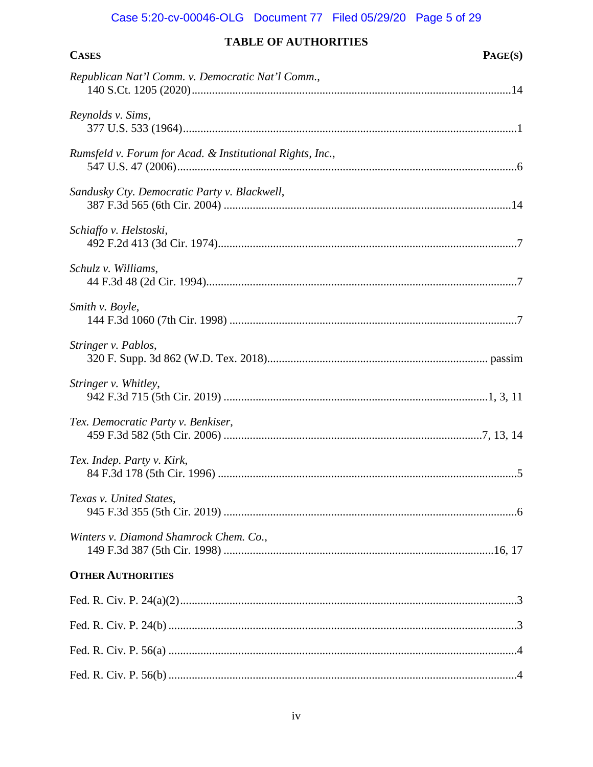## Case 5:20-cv-00046-OLG Document 77 Filed 05/29/20 Page 5 of 29

| <b>TABLE OF AUTHORITIES</b>                               |  |  |
|-----------------------------------------------------------|--|--|
| <b>CASES</b><br>PAGE(S)                                   |  |  |
| Republican Nat'l Comm. v. Democratic Nat'l Comm.,         |  |  |
| Reynolds v. Sims,                                         |  |  |
| Rumsfeld v. Forum for Acad. & Institutional Rights, Inc., |  |  |
| Sandusky Cty. Democratic Party v. Blackwell,              |  |  |
| Schiaffo v. Helstoski,                                    |  |  |
| Schulz v. Williams,                                       |  |  |
| Smith v. Boyle,                                           |  |  |
| Stringer v. Pablos,                                       |  |  |
| Stringer v. Whitley,                                      |  |  |
| Tex. Democratic Party v. Benkiser,                        |  |  |
| Tex. Indep. Party v. Kirk,                                |  |  |
| Texas v. United States,                                   |  |  |
| Winters v. Diamond Shamrock Chem. Co.,                    |  |  |

## **OTHER AUTHORITIES**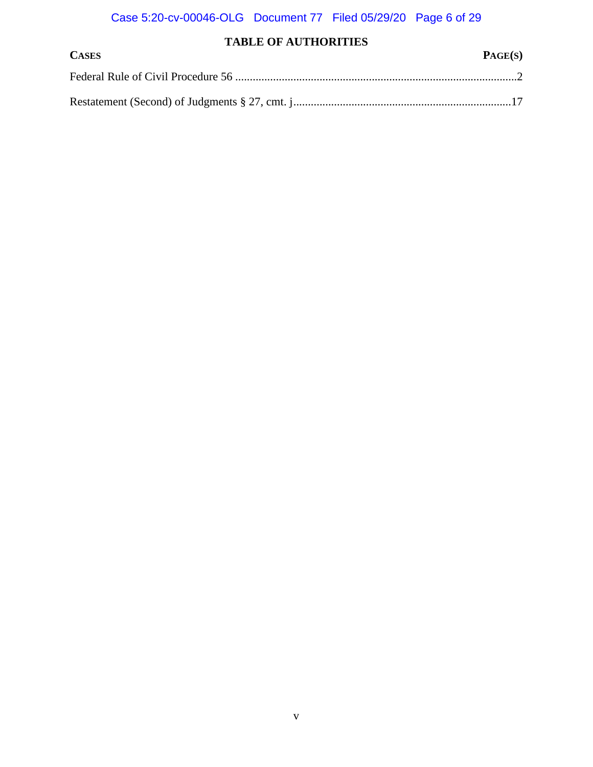# **TABLE OF AUTHORITIES**

| <b>CASES</b> | PAGE(S) |
|--------------|---------|
|              |         |
|              |         |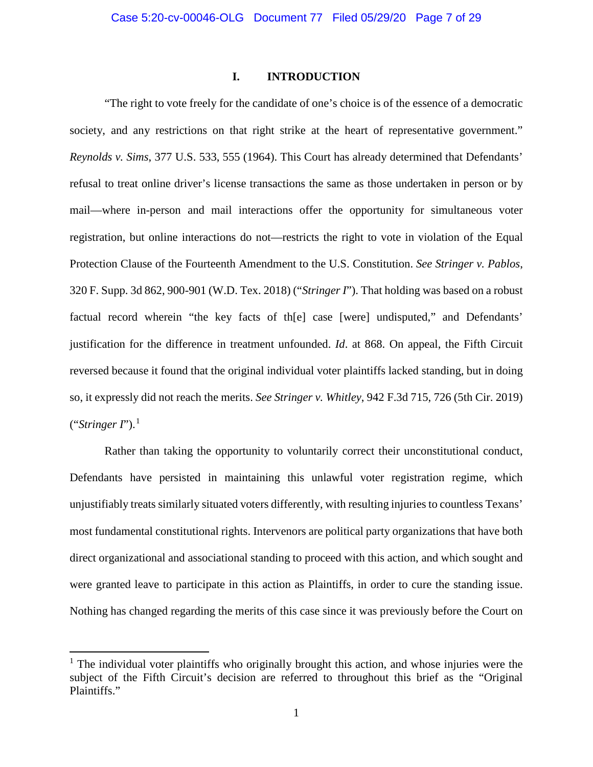#### <span id="page-6-2"></span>**I. INTRODUCTION**

<span id="page-6-1"></span><span id="page-6-0"></span>"The right to vote freely for the candidate of one's choice is of the essence of a democratic society, and any restrictions on that right strike at the heart of representative government." *Reynolds v. Sims*, 377 U.S. 533, 555 (1964). This Court has already determined that Defendants' refusal to treat online driver's license transactions the same as those undertaken in person or by mail—where in-person and mail interactions offer the opportunity for simultaneous voter registration, but online interactions do not—restricts the right to vote in violation of the Equal Protection Clause of the Fourteenth Amendment to the U.S. Constitution. *See Stringer v. Pablos*, 320 F. Supp. 3d 862, 900-901 (W.D. Tex. 2018) ("*Stringer I*"). That holding was based on a robust factual record wherein "the key facts of th[e] case [were] undisputed," and Defendants' justification for the difference in treatment unfounded. *Id*. at 868. On appeal, the Fifth Circuit reversed because it found that the original individual voter plaintiffs lacked standing, but in doing so, it expressly did not reach the merits. *See Stringer v. Whitley*, 942 F.3d 715, 726 (5th Cir. 2019) ("*Stringer I*"). [1](#page-6-4)

<span id="page-6-3"></span>Rather than taking the opportunity to voluntarily correct their unconstitutional conduct, Defendants have persisted in maintaining this unlawful voter registration regime, which unjustifiably treats similarly situated voters differently, with resulting injuries to countless Texans' most fundamental constitutional rights. Intervenors are political party organizations that have both direct organizational and associational standing to proceed with this action, and which sought and were granted leave to participate in this action as Plaintiffs, in order to cure the standing issue. Nothing has changed regarding the merits of this case since it was previously before the Court on

 $\overline{\phantom{a}}$ 

<span id="page-6-4"></span> $<sup>1</sup>$  The individual voter plaintiffs who originally brought this action, and whose injuries were the</sup> subject of the Fifth Circuit's decision are referred to throughout this brief as the "Original Plaintiffs."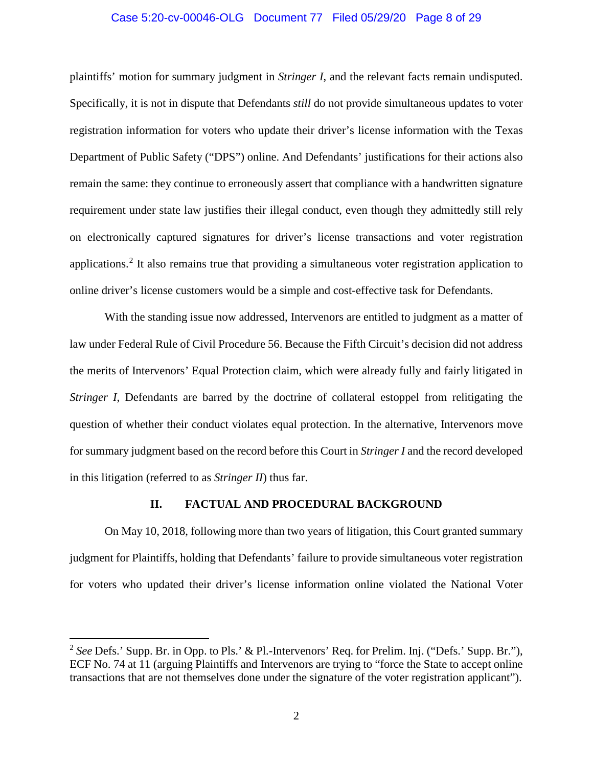#### Case 5:20-cv-00046-OLG Document 77 Filed 05/29/20 Page 8 of 29

plaintiffs' motion for summary judgment in *Stringer I*, and the relevant facts remain undisputed. Specifically, it is not in dispute that Defendants *still* do not provide simultaneous updates to voter registration information for voters who update their driver's license information with the Texas Department of Public Safety ("DPS") online. And Defendants' justifications for their actions also remain the same: they continue to erroneously assert that compliance with a handwritten signature requirement under state law justifies their illegal conduct, even though they admittedly still rely on electronically captured signatures for driver's license transactions and voter registration applications.<sup>[2](#page-7-2)</sup> It also remains true that providing a simultaneous voter registration application to online driver's license customers would be a simple and cost-effective task for Defendants.

<span id="page-7-1"></span>With the standing issue now addressed, Intervenors are entitled to judgment as a matter of law under Federal Rule of Civil Procedure 56. Because the Fifth Circuit's decision did not address the merits of Intervenors' Equal Protection claim, which were already fully and fairly litigated in *Stringer I*, Defendants are barred by the doctrine of collateral estoppel from relitigating the question of whether their conduct violates equal protection. In the alternative, Intervenors move for summary judgment based on the record before this Court in *Stringer I* and the record developed in this litigation (referred to as *Stringer II*) thus far.

#### **II. FACTUAL AND PROCEDURAL BACKGROUND**

<span id="page-7-0"></span>On May 10, 2018, following more than two years of litigation, this Court granted summary judgment for Plaintiffs, holding that Defendants' failure to provide simultaneous voter registration for voters who updated their driver's license information online violated the National Voter

 $\overline{\phantom{a}}$ 

<span id="page-7-2"></span><sup>2</sup> *See* Defs.' Supp. Br. in Opp. to Pls.' & Pl.-Intervenors' Req. for Prelim. Inj. ("Defs.' Supp. Br."), ECF No. 74 at 11 (arguing Plaintiffs and Intervenors are trying to "force the State to accept online transactions that are not themselves done under the signature of the voter registration applicant").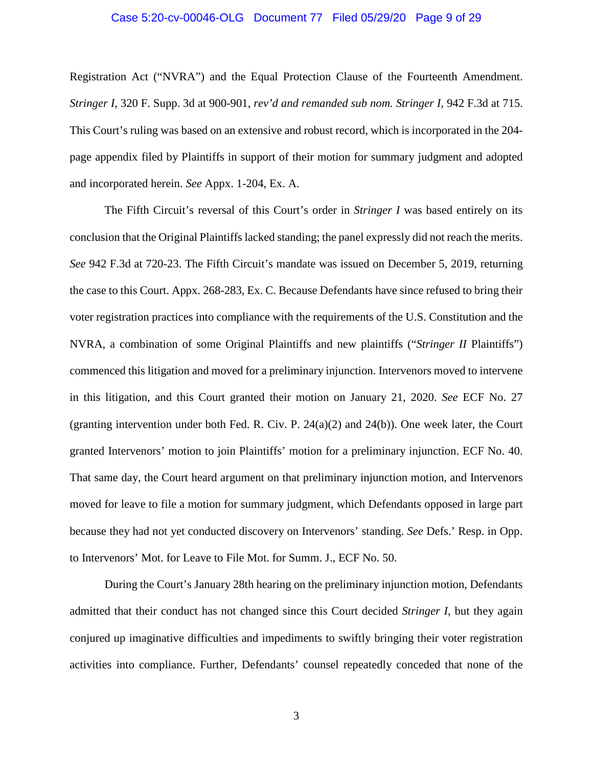#### Case 5:20-cv-00046-OLG Document 77 Filed 05/29/20 Page 9 of 29

Registration Act ("NVRA") and the Equal Protection Clause of the Fourteenth Amendment. *Stringer I*, 320 F. Supp. 3d at 900-901, *rev'd and remanded sub nom. Stringer I*, 942 F.3d at 715. This Court's ruling was based on an extensive and robust record, which is incorporated in the 204 page appendix filed by Plaintiffs in support of their motion for summary judgment and adopted and incorporated herein. *See* Appx. 1-204, Ex. A.

<span id="page-8-0"></span>The Fifth Circuit's reversal of this Court's order in *Stringer I* was based entirely on its conclusion that the Original Plaintiffs lacked standing; the panel expressly did not reach the merits. *See* 942 F.3d at 720-23. The Fifth Circuit's mandate was issued on December 5, 2019, returning the case to this Court. Appx. 268-283, Ex. C. Because Defendants have since refused to bring their voter registration practices into compliance with the requirements of the U.S. Constitution and the NVRA, a combination of some Original Plaintiffs and new plaintiffs ("*Stringer II* Plaintiffs") commenced this litigation and moved for a preliminary injunction. Intervenors moved to intervene in this litigation, and this Court granted their motion on January 21, 2020. *See* ECF No. 27 (granting intervention under both Fed. R. Civ. P. 24(a)(2) and 24(b)). One week later, the Court granted Intervenors' motion to join Plaintiffs' motion for a preliminary injunction. ECF No. 40. That same day, the Court heard argument on that preliminary injunction motion, and Intervenors moved for leave to file a motion for summary judgment, which Defendants opposed in large part because they had not yet conducted discovery on Intervenors' standing. *See* Defs.' Resp. in Opp. to Intervenors' Mot. for Leave to File Mot. for Summ. J., ECF No. 50.

<span id="page-8-1"></span>During the Court's January 28th hearing on the preliminary injunction motion, Defendants admitted that their conduct has not changed since this Court decided *Stringer I*, but they again conjured up imaginative difficulties and impediments to swiftly bringing their voter registration activities into compliance. Further, Defendants' counsel repeatedly conceded that none of the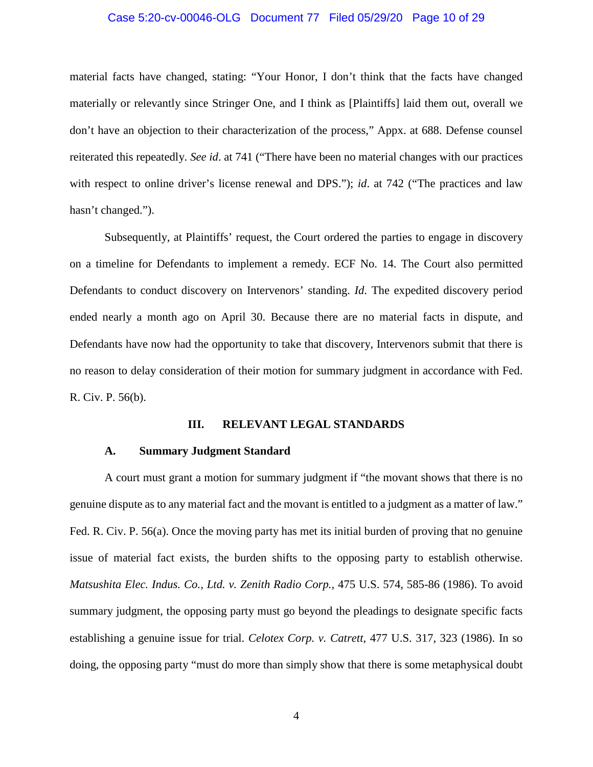#### Case 5:20-cv-00046-OLG Document 77 Filed 05/29/20 Page 10 of 29

material facts have changed, stating: "Your Honor, I don't think that the facts have changed materially or relevantly since Stringer One, and I think as [Plaintiffs] laid them out, overall we don't have an objection to their characterization of the process," Appx. at 688. Defense counsel reiterated this repeatedly. *See id*. at 741 ("There have been no material changes with our practices with respect to online driver's license renewal and DPS."); *id*. at 742 ("The practices and law hasn't changed.").

Subsequently, at Plaintiffs' request, the Court ordered the parties to engage in discovery on a timeline for Defendants to implement a remedy. ECF No. 14. The Court also permitted Defendants to conduct discovery on Intervenors' standing. *Id*. The expedited discovery period ended nearly a month ago on April 30. Because there are no material facts in dispute, and Defendants have now had the opportunity to take that discovery, Intervenors submit that there is no reason to delay consideration of their motion for summary judgment in accordance with Fed. R. Civ. P. 56(b).

#### <span id="page-9-5"></span><span id="page-9-2"></span>**III. RELEVANT LEGAL STANDARDS**

#### <span id="page-9-0"></span>**A. Summary Judgment Standard**

<span id="page-9-4"></span><span id="page-9-3"></span><span id="page-9-1"></span>A court must grant a motion for summary judgment if "the movant shows that there is no genuine dispute as to any material fact and the movant is entitled to a judgment as a matter of law." Fed. R. Civ. P. 56(a). Once the moving party has met its initial burden of proving that no genuine issue of material fact exists, the burden shifts to the opposing party to establish otherwise. *Matsushita Elec. Indus. Co., Ltd. v. Zenith Radio Corp.*, 475 U.S. 574, 585-86 (1986). To avoid summary judgment, the opposing party must go beyond the pleadings to designate specific facts establishing a genuine issue for trial. *Celotex Corp. v. Catrett*, 477 U.S. 317, 323 (1986). In so doing, the opposing party "must do more than simply show that there is some metaphysical doubt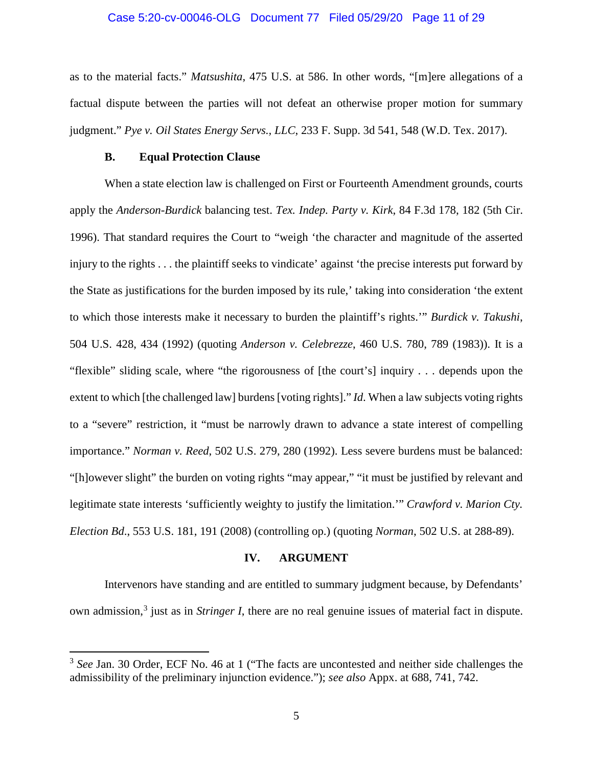#### <span id="page-10-4"></span>Case 5:20-cv-00046-OLG Document 77 Filed 05/29/20 Page 11 of 29

as to the material facts." *Matsushita*, 475 U.S. at 586. In other words, "[m]ere allegations of a factual dispute between the parties will not defeat an otherwise proper motion for summary judgment." *Pye v. Oil States Energy Servs., LLC*, 233 F. Supp. 3d 541, 548 (W.D. Tex. 2017).

#### <span id="page-10-7"></span><span id="page-10-6"></span>**B. Equal Protection Clause**

 $\overline{\phantom{a}}$ 

<span id="page-10-0"></span>When a state election law is challenged on First or Fourteenth Amendment grounds, courts apply the *Anderson-Burdick* balancing test. *Tex. Indep. Party v. Kirk*, 84 F.3d 178, 182 (5th Cir. 1996). That standard requires the Court to "weigh 'the character and magnitude of the asserted injury to the rights . . . the plaintiff seeks to vindicate' against 'the precise interests put forward by the State as justifications for the burden imposed by its rule,' taking into consideration 'the extent to which those interests make it necessary to burden the plaintiff's rights.'" *Burdick v. Takushi*, 504 U.S. 428, 434 (1992) (quoting *Anderson v. Celebrezze*, 460 U.S. 780, 789 (1983)). It is a "flexible" sliding scale, where "the rigorousness of [the court's] inquiry . . . depends upon the extent to which [the challenged law] burdens [voting rights]." *Id*. When a law subjects voting rights to a "severe" restriction, it "must be narrowly drawn to advance a state interest of compelling importance." *Norman v. Reed*, 502 U.S. 279, 280 (1992). Less severe burdens must be balanced: "[h]owever slight" the burden on voting rights "may appear," "it must be justified by relevant and legitimate state interests 'sufficiently weighty to justify the limitation.'" *Crawford v. Marion Cty. Election Bd*., 553 U.S. 181, 191 (2008) (controlling op.) (quoting *Norman*, 502 U.S. at 288-89).

#### <span id="page-10-5"></span><span id="page-10-3"></span><span id="page-10-2"></span>**IV. ARGUMENT**

<span id="page-10-1"></span>Intervenors have standing and are entitled to summary judgment because, by Defendants' own admission,[3](#page-10-8) just as in *Stringer I*, there are no real genuine issues of material fact in dispute.

<span id="page-10-8"></span><sup>&</sup>lt;sup>3</sup> See Jan. 30 Order, ECF No. 46 at 1 ("The facts are uncontested and neither side challenges the admissibility of the preliminary injunction evidence."); *see also* Appx. at 688, 741, 742.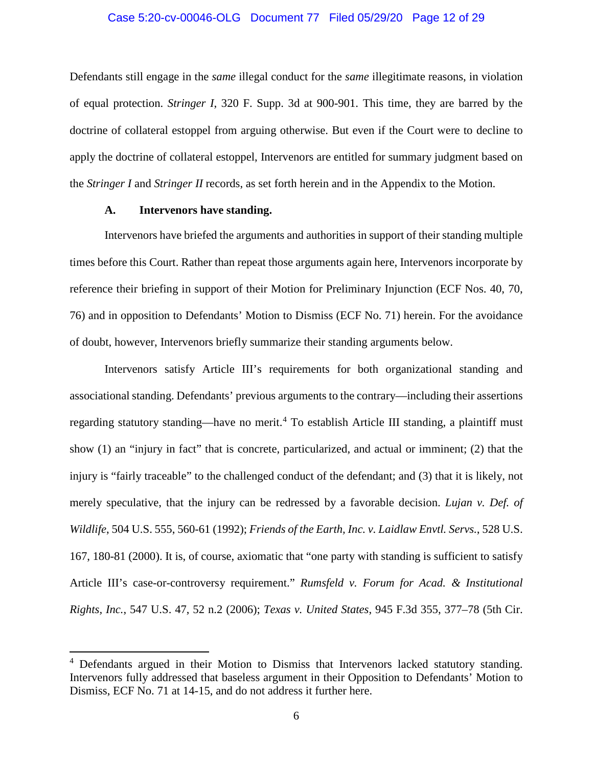#### Case 5:20-cv-00046-OLG Document 77 Filed 05/29/20 Page 12 of 29

Defendants still engage in the *same* illegal conduct for the *same* illegitimate reasons, in violation of equal protection. *Stringer I*, 320 F. Supp. 3d at 900-901. This time, they are barred by the doctrine of collateral estoppel from arguing otherwise. But even if the Court were to decline to apply the doctrine of collateral estoppel, Intervenors are entitled for summary judgment based on the *Stringer I* and *Stringer II* records, as set forth herein and in the Appendix to the Motion.

#### **A. Intervenors have standing.**

<span id="page-11-4"></span><span id="page-11-3"></span><span id="page-11-1"></span> $\overline{\phantom{a}}$ 

<span id="page-11-0"></span>Intervenors have briefed the arguments and authorities in support of their standing multiple times before this Court. Rather than repeat those arguments again here, Intervenors incorporate by reference their briefing in support of their Motion for Preliminary Injunction (ECF Nos. 40, 70, 76) and in opposition to Defendants' Motion to Dismiss (ECF No. 71) herein. For the avoidance of doubt, however, Intervenors briefly summarize their standing arguments below.

<span id="page-11-2"></span>Intervenors satisfy Article III's requirements for both organizational standing and associational standing. Defendants' previous arguments to the contrary—including their assertions regarding statutory standing—have no merit.<sup>[4](#page-11-5)</sup> To establish Article III standing, a plaintiff must show (1) an "injury in fact" that is concrete, particularized, and actual or imminent; (2) that the injury is "fairly traceable" to the challenged conduct of the defendant; and (3) that it is likely, not merely speculative, that the injury can be redressed by a favorable decision. *Lujan v. Def. of Wildlife*, 504 U.S. 555, 560-61 (1992); *Friends of the Earth, Inc. v. Laidlaw Envtl. Servs.*, 528 U.S. 167, 180-81 (2000). It is, of course, axiomatic that "one party with standing is sufficient to satisfy Article III's case-or-controversy requirement." *Rumsfeld v. Forum for Acad. & Institutional Rights, Inc.*, 547 U.S. 47, 52 n.2 (2006); *Texas v. United States*, 945 F.3d 355, 377–78 (5th Cir.

<span id="page-11-5"></span><sup>&</sup>lt;sup>4</sup> Defendants argued in their Motion to Dismiss that Intervenors lacked statutory standing. Intervenors fully addressed that baseless argument in their Opposition to Defendants' Motion to Dismiss, ECF No. 71 at 14-15, and do not address it further here.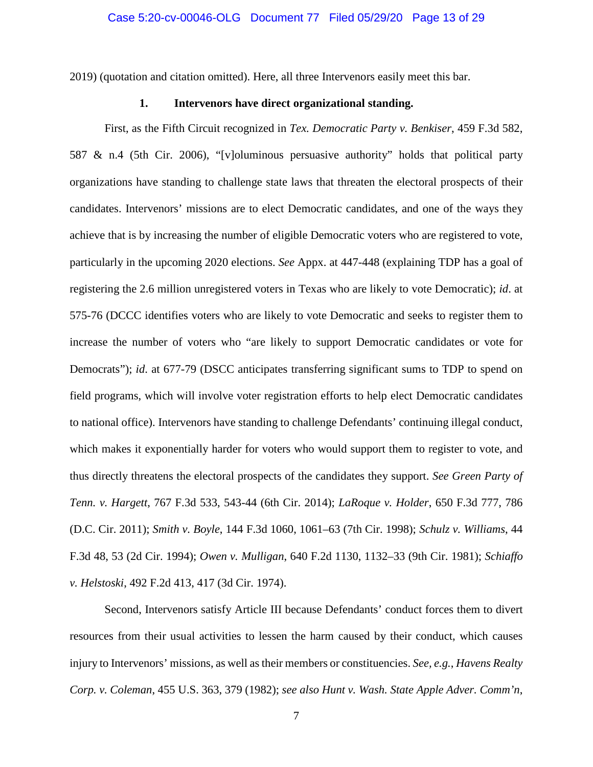<span id="page-12-0"></span>2019) (quotation and citation omitted). Here, all three Intervenors easily meet this bar.

#### <span id="page-12-10"></span><span id="page-12-5"></span>**1. Intervenors have direct organizational standing.**

First, as the Fifth Circuit recognized in *Tex. Democratic Party v. Benkiser*, 459 F.3d 582, 587 & n.4 (5th Cir. 2006), "[v]oluminous persuasive authority" holds that political party organizations have standing to challenge state laws that threaten the electoral prospects of their candidates. Intervenors' missions are to elect Democratic candidates, and one of the ways they achieve that is by increasing the number of eligible Democratic voters who are registered to vote, particularly in the upcoming 2020 elections. *See* Appx. at 447-448 (explaining TDP has a goal of registering the 2.6 million unregistered voters in Texas who are likely to vote Democratic); *id*. at 575-76 (DCCC identifies voters who are likely to vote Democratic and seeks to register them to increase the number of voters who "are likely to support Democratic candidates or vote for Democrats"); *id*. at 677-79 (DSCC anticipates transferring significant sums to TDP to spend on field programs, which will involve voter registration efforts to help elect Democratic candidates to national office). Intervenors have standing to challenge Defendants' continuing illegal conduct, which makes it exponentially harder for voters who would support them to register to vote, and thus directly threatens the electoral prospects of the candidates they support. *See Green Party of Tenn. v. Hargett*, 767 F.3d 533, 543-44 (6th Cir. 2014); *LaRoque v. Holder*, 650 F.3d 777, 786 (D.C. Cir. 2011); *Smith v. Boyle*, 144 F.3d 1060, 1061–63 (7th Cir. 1998); *Schulz v. Williams*, 44 F.3d 48, 53 (2d Cir. 1994); *Owen v. Mulligan*, 640 F.2d 1130, 1132–33 (9th Cir. 1981); *Schiaffo v. Helstoski*, 492 F.2d 413, 417 (3d Cir. 1974).

<span id="page-12-9"></span><span id="page-12-8"></span><span id="page-12-7"></span><span id="page-12-6"></span><span id="page-12-4"></span><span id="page-12-3"></span><span id="page-12-2"></span><span id="page-12-1"></span>Second, Intervenors satisfy Article III because Defendants' conduct forces them to divert resources from their usual activities to lessen the harm caused by their conduct, which causes injury to Intervenors' missions, as well as their members or constituencies. *See, e.g.*, *Havens Realty Corp. v. Coleman*, 455 U.S. 363, 379 (1982); *see also Hunt v. Wash. State Apple Adver. Comm'n*,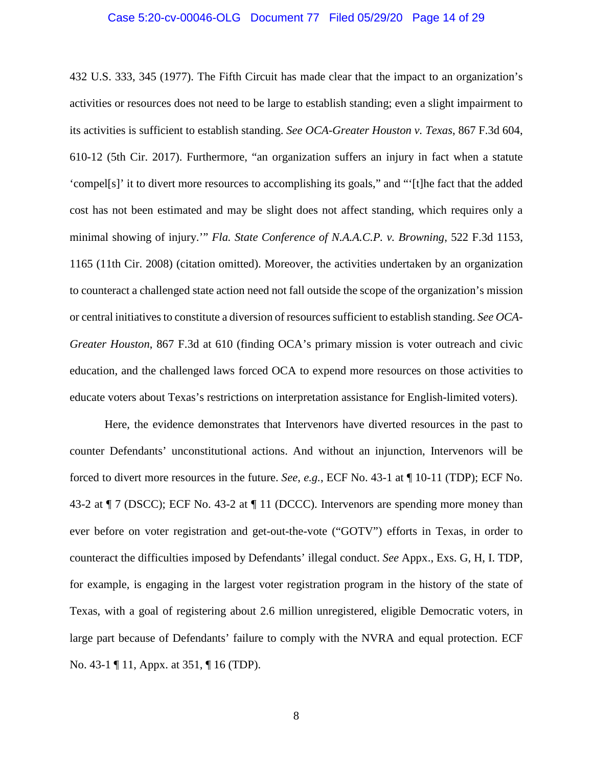#### <span id="page-13-1"></span>Case 5:20-cv-00046-OLG Document 77 Filed 05/29/20 Page 14 of 29

<span id="page-13-0"></span>432 U.S. 333, 345 (1977). The Fifth Circuit has made clear that the impact to an organization's activities or resources does not need to be large to establish standing; even a slight impairment to its activities is sufficient to establish standing. *See OCA-Greater Houston v. Texas*, 867 F.3d 604, 610-12 (5th Cir. 2017). Furthermore, "an organization suffers an injury in fact when a statute 'compel[s]' it to divert more resources to accomplishing its goals," and "'[t]he fact that the added cost has not been estimated and may be slight does not affect standing, which requires only a minimal showing of injury.'" *Fla. State Conference of N.A.A.C.P. v. Browning*, 522 F.3d 1153, 1165 (11th Cir. 2008) (citation omitted). Moreover, the activities undertaken by an organization to counteract a challenged state action need not fall outside the scope of the organization's mission or central initiatives to constitute a diversion of resources sufficient to establish standing. *See OCA-Greater Houston*, 867 F.3d at 610 (finding OCA's primary mission is voter outreach and civic education, and the challenged laws forced OCA to expend more resources on those activities to educate voters about Texas's restrictions on interpretation assistance for English-limited voters).

Here, the evidence demonstrates that Intervenors have diverted resources in the past to counter Defendants' unconstitutional actions. And without an injunction, Intervenors will be forced to divert more resources in the future. *See*, *e.g.*, ECF No. 43-1 at ¶ 10-11 (TDP); ECF No. 43-2 at ¶ 7 (DSCC); ECF No. 43-2 at ¶ 11 (DCCC). Intervenors are spending more money than ever before on voter registration and get-out-the-vote ("GOTV") efforts in Texas, in order to counteract the difficulties imposed by Defendants' illegal conduct. *See* Appx., Exs. G, H, I. TDP, for example, is engaging in the largest voter registration program in the history of the state of Texas, with a goal of registering about 2.6 million unregistered, eligible Democratic voters, in large part because of Defendants' failure to comply with the NVRA and equal protection. ECF No. 43-1 ¶ 11, Appx. at 351, ¶ 16 (TDP).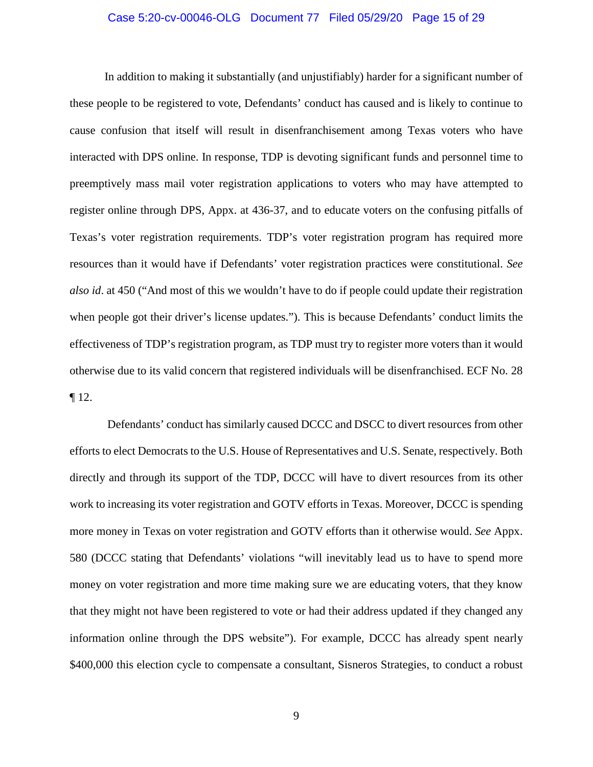#### Case 5:20-cv-00046-OLG Document 77 Filed 05/29/20 Page 15 of 29

In addition to making it substantially (and unjustifiably) harder for a significant number of these people to be registered to vote, Defendants' conduct has caused and is likely to continue to cause confusion that itself will result in disenfranchisement among Texas voters who have interacted with DPS online. In response, TDP is devoting significant funds and personnel time to preemptively mass mail voter registration applications to voters who may have attempted to register online through DPS, Appx. at 436-37, and to educate voters on the confusing pitfalls of Texas's voter registration requirements. TDP's voter registration program has required more resources than it would have if Defendants' voter registration practices were constitutional. *See also id*. at 450 ("And most of this we wouldn't have to do if people could update their registration when people got their driver's license updates."). This is because Defendants' conduct limits the effectiveness of TDP's registration program, as TDP must try to register more voters than it would otherwise due to its valid concern that registered individuals will be disenfranchised. ECF No. 28 ¶ 12.

Defendants' conduct has similarly caused DCCC and DSCC to divert resources from other efforts to elect Democrats to the U.S. House of Representatives and U.S. Senate, respectively. Both directly and through its support of the TDP, DCCC will have to divert resources from its other work to increasing its voter registration and GOTV efforts in Texas. Moreover, DCCC is spending more money in Texas on voter registration and GOTV efforts than it otherwise would. *See* Appx. 580 (DCCC stating that Defendants' violations "will inevitably lead us to have to spend more money on voter registration and more time making sure we are educating voters, that they know that they might not have been registered to vote or had their address updated if they changed any information online through the DPS website"). For example, DCCC has already spent nearly \$400,000 this election cycle to compensate a consultant, Sisneros Strategies, to conduct a robust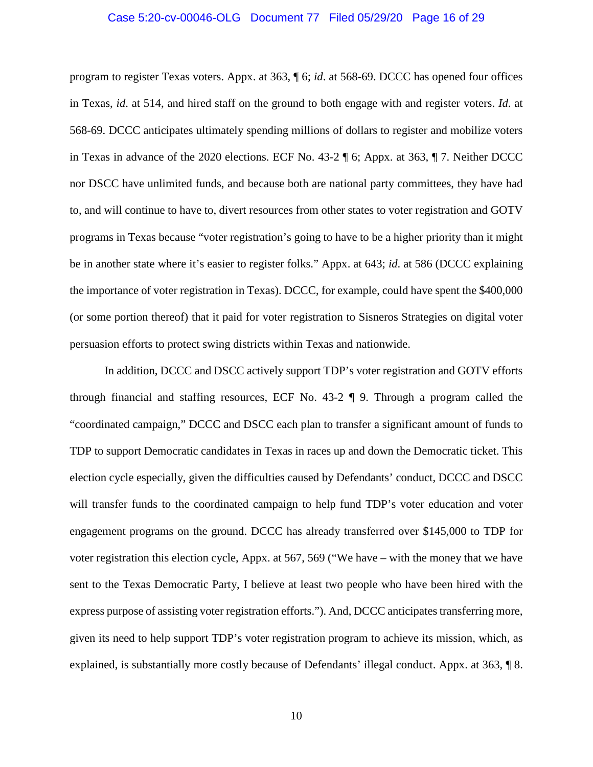#### Case 5:20-cv-00046-OLG Document 77 Filed 05/29/20 Page 16 of 29

program to register Texas voters. Appx. at 363, ¶ 6; *id*. at 568-69. DCCC has opened four offices in Texas, *id*. at 514, and hired staff on the ground to both engage with and register voters. *Id*. at 568-69. DCCC anticipates ultimately spending millions of dollars to register and mobilize voters in Texas in advance of the 2020 elections. ECF No. 43-2 ¶ 6; Appx. at 363, ¶ 7. Neither DCCC nor DSCC have unlimited funds, and because both are national party committees, they have had to, and will continue to have to, divert resources from other states to voter registration and GOTV programs in Texas because "voter registration's going to have to be a higher priority than it might be in another state where it's easier to register folks." Appx. at 643; *id*. at 586 (DCCC explaining the importance of voter registration in Texas). DCCC, for example, could have spent the \$400,000 (or some portion thereof) that it paid for voter registration to Sisneros Strategies on digital voter persuasion efforts to protect swing districts within Texas and nationwide.

In addition, DCCC and DSCC actively support TDP's voter registration and GOTV efforts through financial and staffing resources, ECF No. 43-2 ¶ 9. Through a program called the "coordinated campaign," DCCC and DSCC each plan to transfer a significant amount of funds to TDP to support Democratic candidates in Texas in races up and down the Democratic ticket. This election cycle especially, given the difficulties caused by Defendants' conduct, DCCC and DSCC will transfer funds to the coordinated campaign to help fund TDP's voter education and voter engagement programs on the ground. DCCC has already transferred over \$145,000 to TDP for voter registration this election cycle, Appx. at 567, 569 ("We have – with the money that we have sent to the Texas Democratic Party, I believe at least two people who have been hired with the express purpose of assisting voter registration efforts."). And, DCCC anticipates transferring more, given its need to help support TDP's voter registration program to achieve its mission, which, as explained, is substantially more costly because of Defendants' illegal conduct. Appx. at 363, ¶ 8.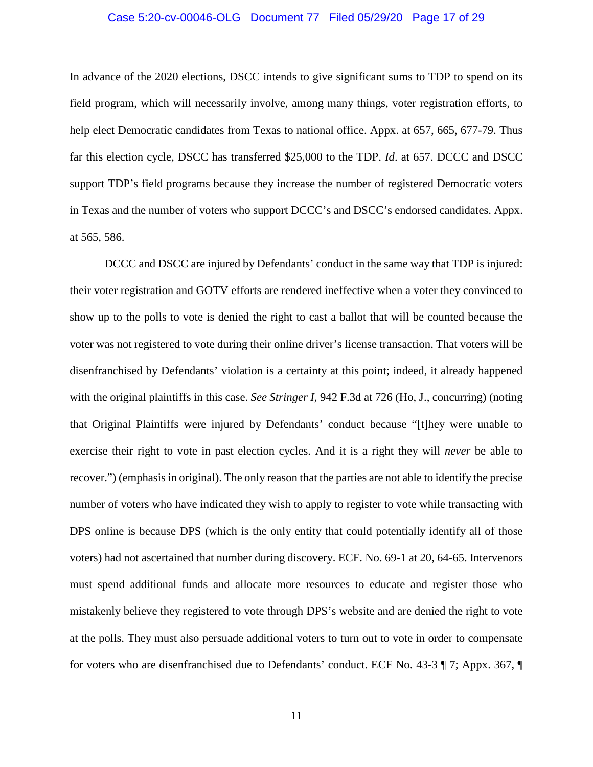#### Case 5:20-cv-00046-OLG Document 77 Filed 05/29/20 Page 17 of 29

In advance of the 2020 elections, DSCC intends to give significant sums to TDP to spend on its field program, which will necessarily involve, among many things, voter registration efforts, to help elect Democratic candidates from Texas to national office. Appx. at 657, 665, 677-79. Thus far this election cycle, DSCC has transferred \$25,000 to the TDP. *Id*. at 657. DCCC and DSCC support TDP's field programs because they increase the number of registered Democratic voters in Texas and the number of voters who support DCCC's and DSCC's endorsed candidates. Appx. at 565, 586.

<span id="page-16-0"></span>DCCC and DSCC are injured by Defendants' conduct in the same way that TDP is injured: their voter registration and GOTV efforts are rendered ineffective when a voter they convinced to show up to the polls to vote is denied the right to cast a ballot that will be counted because the voter was not registered to vote during their online driver's license transaction. That voters will be disenfranchised by Defendants' violation is a certainty at this point; indeed, it already happened with the original plaintiffs in this case. *See Stringer I*, 942 F.3d at 726 (Ho, J., concurring) (noting that Original Plaintiffs were injured by Defendants' conduct because "[t]hey were unable to exercise their right to vote in past election cycles. And it is a right they will *never* be able to recover.") (emphasis in original). The only reason that the parties are not able to identify the precise number of voters who have indicated they wish to apply to register to vote while transacting with DPS online is because DPS (which is the only entity that could potentially identify all of those voters) had not ascertained that number during discovery. ECF. No. 69-1 at 20, 64-65. Intervenors must spend additional funds and allocate more resources to educate and register those who mistakenly believe they registered to vote through DPS's website and are denied the right to vote at the polls. They must also persuade additional voters to turn out to vote in order to compensate for voters who are disenfranchised due to Defendants' conduct. ECF No. 43-3 ¶ 7; Appx. 367, ¶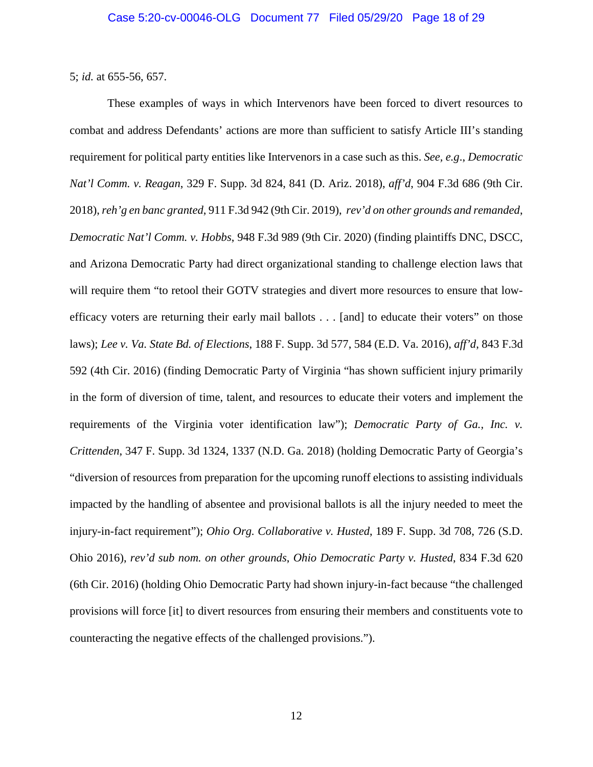5; *id.* at 655-56, 657.

<span id="page-17-3"></span><span id="page-17-2"></span><span id="page-17-1"></span><span id="page-17-0"></span>These examples of ways in which Intervenors have been forced to divert resources to combat and address Defendants' actions are more than sufficient to satisfy Article III's standing requirement for political party entities like Intervenors in a case such as this. *See, e.g*., *Democratic Nat'l Comm. v. Reagan*, 329 F. Supp. 3d 824, 841 (D. Ariz. 2018), *aff'd*, 904 F.3d 686 (9th Cir. 2018), *reh'g en banc granted*, 911 F.3d 942 (9th Cir. 2019), *rev'd on other grounds and remanded*, *Democratic Nat'l Comm. v. Hobbs*, 948 F.3d 989 (9th Cir. 2020) (finding plaintiffs DNC, DSCC, and Arizona Democratic Party had direct organizational standing to challenge election laws that will require them "to retool their GOTV strategies and divert more resources to ensure that lowefficacy voters are returning their early mail ballots . . . [and] to educate their voters" on those laws); *Lee v. Va. State Bd. of Elections*, 188 F. Supp. 3d 577, 584 (E.D. Va. 2016), *aff'd*, 843 F.3d 592 (4th Cir. 2016) (finding Democratic Party of Virginia "has shown sufficient injury primarily in the form of diversion of time, talent, and resources to educate their voters and implement the requirements of the Virginia voter identification law"); *Democratic Party of Ga., Inc. v. Crittenden*, 347 F. Supp. 3d 1324, 1337 (N.D. Ga. 2018) (holding Democratic Party of Georgia's "diversion of resources from preparation for the upcoming runoff elections to assisting individuals impacted by the handling of absentee and provisional ballots is all the injury needed to meet the injury-in-fact requirement"); *Ohio Org. Collaborative v. Husted*, 189 F. Supp. 3d 708, 726 (S.D. Ohio 2016), *rev'd sub nom. on other grounds*, *Ohio Democratic Party v. Husted*, 834 F.3d 620 (6th Cir. 2016) (holding Ohio Democratic Party had shown injury-in-fact because "the challenged provisions will force [it] to divert resources from ensuring their members and constituents vote to counteracting the negative effects of the challenged provisions.").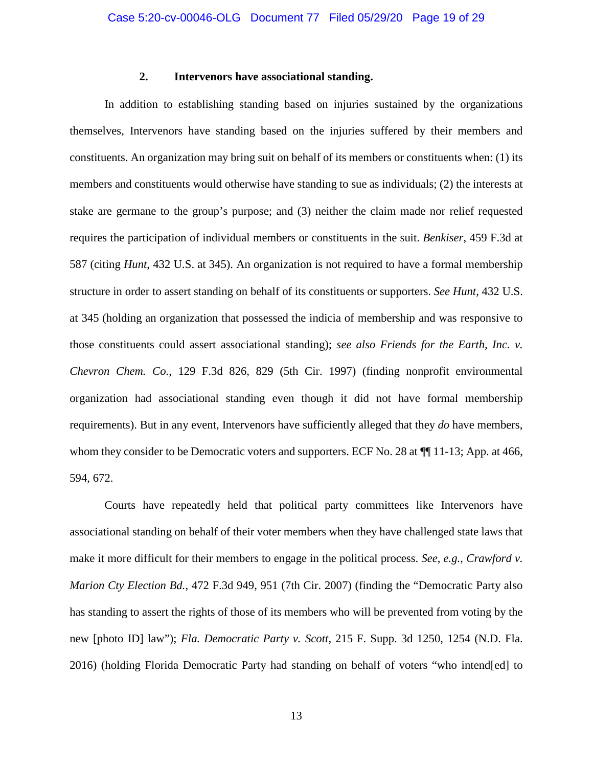#### <span id="page-18-5"></span><span id="page-18-4"></span>**2. Intervenors have associational standing.**

<span id="page-18-0"></span>In addition to establishing standing based on injuries sustained by the organizations themselves, Intervenors have standing based on the injuries suffered by their members and constituents. An organization may bring suit on behalf of its members or constituents when: (1) its members and constituents would otherwise have standing to sue as individuals; (2) the interests at stake are germane to the group's purpose; and (3) neither the claim made nor relief requested requires the participation of individual members or constituents in the suit. *Benkiser*, 459 F.3d at 587 (citing *Hunt*, 432 U.S. at 345). An organization is not required to have a formal membership structure in order to assert standing on behalf of its constituents or supporters. *See Hunt*, 432 U.S. at 345 (holding an organization that possessed the indicia of membership and was responsive to those constituents could assert associational standing); *see also Friends for the Earth, Inc. v. Chevron Chem. Co.*, 129 F.3d 826, 829 (5th Cir. 1997) (finding nonprofit environmental organization had associational standing even though it did not have formal membership requirements). But in any event, Intervenors have sufficiently alleged that they *do* have members, whom they consider to be Democratic voters and supporters. ECF No. 28 at  $\P$ [11-13; App. at 466, 594, 672.

<span id="page-18-3"></span><span id="page-18-2"></span><span id="page-18-1"></span>Courts have repeatedly held that political party committees like Intervenors have associational standing on behalf of their voter members when they have challenged state laws that make it more difficult for their members to engage in the political process. *See*, *e.g.*, *Crawford v. Marion Cty Election Bd.*, 472 F.3d 949, 951 (7th Cir. 2007) (finding the "Democratic Party also has standing to assert the rights of those of its members who will be prevented from voting by the new [photo ID] law"); *Fla. Democratic Party v. Scott*, 215 F. Supp. 3d 1250, 1254 (N.D. Fla. 2016) (holding Florida Democratic Party had standing on behalf of voters "who intend[ed] to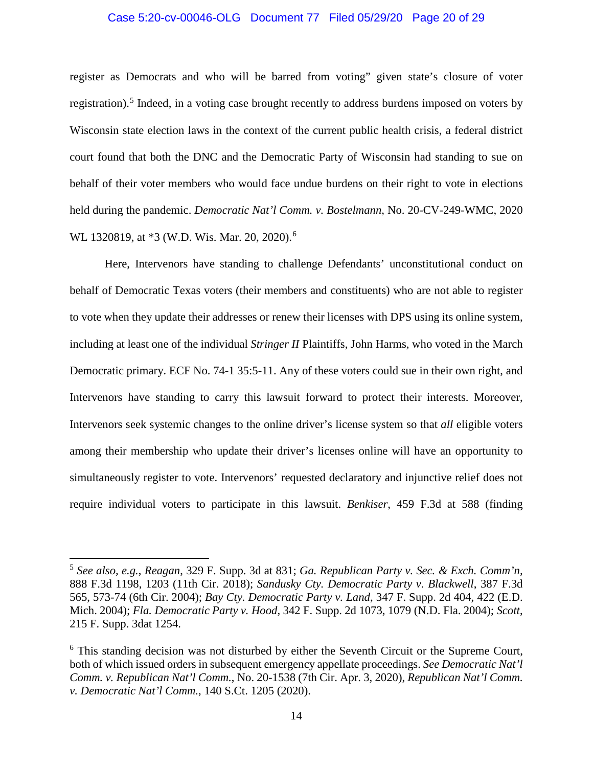#### Case 5:20-cv-00046-OLG Document 77 Filed 05/29/20 Page 20 of 29

register as Democrats and who will be barred from voting" given state's closure of voter registration).<sup>[5](#page-19-10)</sup> Indeed, in a voting case brought recently to address burdens imposed on voters by Wisconsin state election laws in the context of the current public health crisis, a federal district court found that both the DNC and the Democratic Party of Wisconsin had standing to sue on behalf of their voter members who would face undue burdens on their right to vote in elections held during the pandemic. *Democratic Nat'l Comm. v. Bostelmann*, No. 20-CV-249-WMC, 2020 WL 1320819, at \*3 (W.D. Wis. Mar. 20, 2020).<sup>[6](#page-19-11)</sup>

<span id="page-19-1"></span>Here, Intervenors have standing to challenge Defendants' unconstitutional conduct on behalf of Democratic Texas voters (their members and constituents) who are not able to register to vote when they update their addresses or renew their licenses with DPS using its online system, including at least one of the individual *Stringer II* Plaintiffs, John Harms, who voted in the March Democratic primary. ECF No. 74-1 35:5-11. Any of these voters could sue in their own right, and Intervenors have standing to carry this lawsuit forward to protect their interests. Moreover, Intervenors seek systemic changes to the online driver's license system so that *all* eligible voters among their membership who update their driver's licenses online will have an opportunity to simultaneously register to vote. Intervenors' requested declaratory and injunctive relief does not require individual voters to participate in this lawsuit. *Benkiser*, 459 F.3d at 588 (finding

<span id="page-19-9"></span><span id="page-19-8"></span><span id="page-19-6"></span><span id="page-19-5"></span><span id="page-19-2"></span> $\overline{a}$ 

<span id="page-19-10"></span><span id="page-19-4"></span><span id="page-19-0"></span><sup>5</sup> *See also, e.g.*, *Reagan*, 329 F. Supp. 3d at 831; *Ga. Republican Party v. Sec. & Exch. Comm'n,*  888 F.3d 1198, 1203 (11th Cir. 2018); *Sandusky Cty. Democratic Party v. Blackwell*, 387 F.3d 565, 573-74 (6th Cir. 2004); *Bay Cty. Democratic Party v. Land*, 347 F. Supp. 2d 404, 422 (E.D. Mich. 2004); *Fla. Democratic Party v. Hood*, 342 F. Supp. 2d 1073, 1079 (N.D. Fla. 2004); *Scott*, 215 F. Supp. 3dat 1254.

<span id="page-19-11"></span><span id="page-19-7"></span><span id="page-19-3"></span><sup>&</sup>lt;sup>6</sup> This standing decision was not disturbed by either the Seventh Circuit or the Supreme Court, both of which issued orders in subsequent emergency appellate proceedings. *See Democratic Nat'l Comm. v. Republican Nat'l Comm.*, No. 20-1538 (7th Cir. Apr. 3, 2020), *Republican Nat'l Comm. v. Democratic Nat'l Comm.*, 140 S.Ct. 1205 (2020).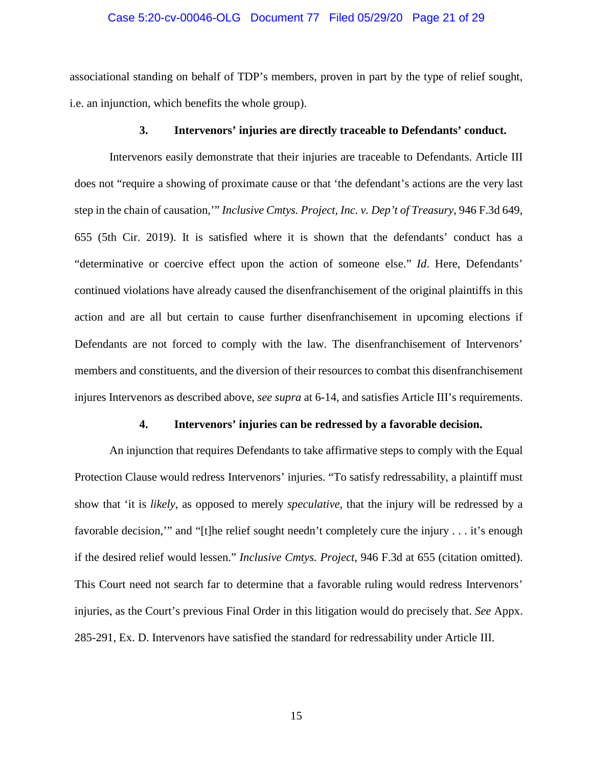#### Case 5:20-cv-00046-OLG Document 77 Filed 05/29/20 Page 21 of 29

associational standing on behalf of TDP's members, proven in part by the type of relief sought, i.e. an injunction, which benefits the whole group).

#### <span id="page-20-2"></span>**3. Intervenors' injuries are directly traceable to Defendants' conduct.**

<span id="page-20-0"></span>Intervenors easily demonstrate that their injuries are traceable to Defendants. Article III does not "require a showing of proximate cause or that 'the defendant's actions are the very last step in the chain of causation,'" *Inclusive Cmtys. Project, Inc. v. Dep't of Treasury*, 946 F.3d 649, 655 (5th Cir. 2019). It is satisfied where it is shown that the defendants' conduct has a "determinative or coercive effect upon the action of someone else." *Id*. Here, Defendants' continued violations have already caused the disenfranchisement of the original plaintiffs in this action and are all but certain to cause further disenfranchisement in upcoming elections if Defendants are not forced to comply with the law. The disenfranchisement of Intervenors' members and constituents, and the diversion of their resources to combat this disenfranchisement injures Intervenors as described above, *see supra* at 6-14, and satisfies Article III's requirements.

#### **4. Intervenors' injuries can be redressed by a favorable decision.**

<span id="page-20-1"></span>An injunction that requires Defendants to take affirmative steps to comply with the Equal Protection Clause would redress Intervenors' injuries. "To satisfy redressability, a plaintiff must show that 'it is *likely*, as opposed to merely *speculative*, that the injury will be redressed by a favorable decision,'" and "[t]he relief sought needn't completely cure the injury . . . it's enough if the desired relief would lessen." *Inclusive Cmtys. Project*, 946 F.3d at 655 (citation omitted). This Court need not search far to determine that a favorable ruling would redress Intervenors' injuries, as the Court's previous Final Order in this litigation would do precisely that. *See* Appx. 285-291, Ex. D. Intervenors have satisfied the standard for redressability under Article III.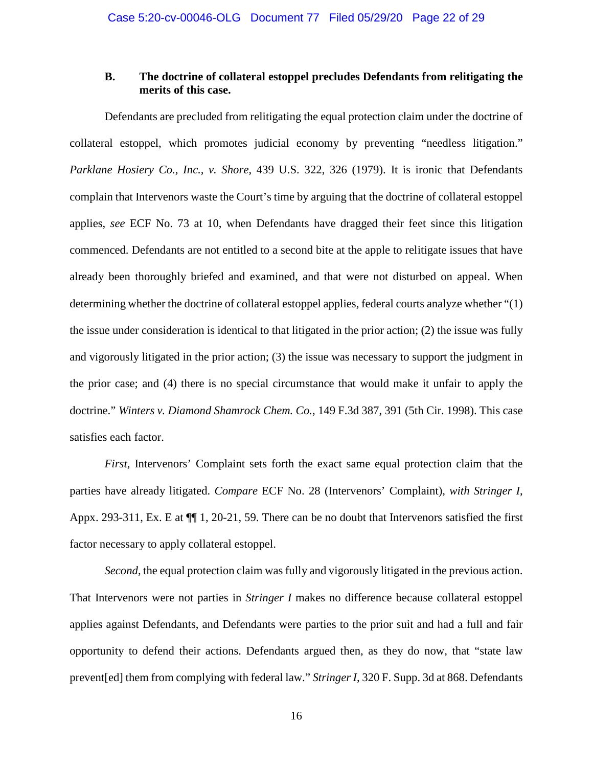### <span id="page-21-0"></span>**B. The doctrine of collateral estoppel precludes Defendants from relitigating the merits of this case.**

<span id="page-21-1"></span>Defendants are precluded from relitigating the equal protection claim under the doctrine of collateral estoppel, which promotes judicial economy by preventing "needless litigation." *Parklane Hosiery Co., Inc., v. Shore*, 439 U.S. 322, 326 (1979). It is ironic that Defendants complain that Intervenors waste the Court's time by arguing that the doctrine of collateral estoppel applies, *see* ECF No. 73 at 10, when Defendants have dragged their feet since this litigation commenced. Defendants are not entitled to a second bite at the apple to relitigate issues that have already been thoroughly briefed and examined, and that were not disturbed on appeal. When determining whether the doctrine of collateral estoppel applies, federal courts analyze whether "(1) the issue under consideration is identical to that litigated in the prior action; (2) the issue was fully and vigorously litigated in the prior action; (3) the issue was necessary to support the judgment in the prior case; and (4) there is no special circumstance that would make it unfair to apply the doctrine." *Winters v. Diamond Shamrock Chem. Co.*, 149 F.3d 387, 391 (5th Cir. 1998). This case satisfies each factor.

<span id="page-21-2"></span>*First*, Intervenors' Complaint sets forth the exact same equal protection claim that the parties have already litigated. *Compare* ECF No. 28 (Intervenors' Complaint), *with Stringer I*, Appx. 293-311, Ex. E at ¶¶ 1, 20-21, 59. There can be no doubt that Intervenors satisfied the first factor necessary to apply collateral estoppel.

*Second*, the equal protection claim was fully and vigorously litigated in the previous action. That Intervenors were not parties in *Stringer I* makes no difference because collateral estoppel applies against Defendants, and Defendants were parties to the prior suit and had a full and fair opportunity to defend their actions. Defendants argued then, as they do now, that "state law prevent[ed] them from complying with federal law." *Stringer I*, 320 F. Supp. 3d at 868. Defendants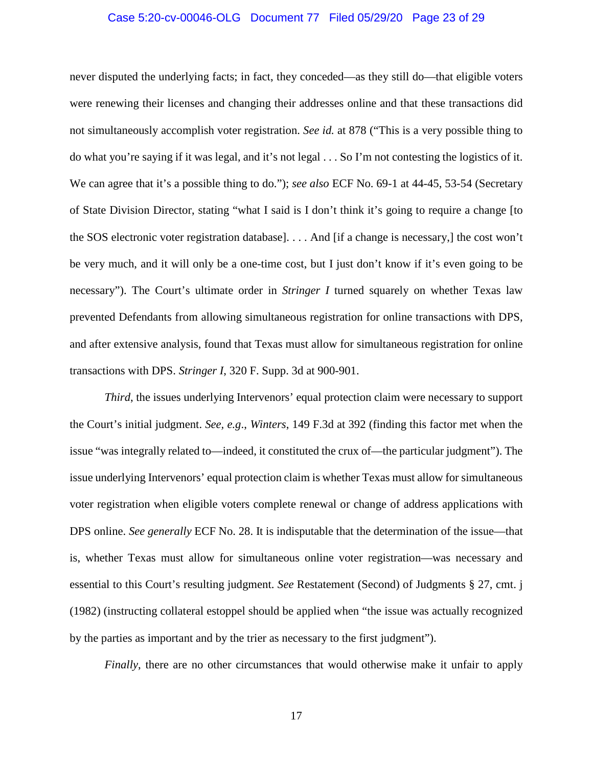#### Case 5:20-cv-00046-OLG Document 77 Filed 05/29/20 Page 23 of 29

never disputed the underlying facts; in fact, they conceded—as they still do—that eligible voters were renewing their licenses and changing their addresses online and that these transactions did not simultaneously accomplish voter registration. *See id.* at 878 ("This is a very possible thing to do what you're saying if it was legal, and it's not legal . . . So I'm not contesting the logistics of it. We can agree that it's a possible thing to do."); *see also* ECF No. 69-1 at 44-45, 53-54 (Secretary of State Division Director, stating "what I said is I don't think it's going to require a change [to the SOS electronic voter registration database]. . . . And [if a change is necessary,] the cost won't be very much, and it will only be a one-time cost, but I just don't know if it's even going to be necessary"). The Court's ultimate order in *Stringer I* turned squarely on whether Texas law prevented Defendants from allowing simultaneous registration for online transactions with DPS, and after extensive analysis, found that Texas must allow for simultaneous registration for online transactions with DPS. *Stringer I*, 320 F. Supp. 3d at 900-901.

<span id="page-22-0"></span>*Third*, the issues underlying Intervenors' equal protection claim were necessary to support the Court's initial judgment. *See, e.g*., *Winters*, 149 F.3d at 392 (finding this factor met when the issue "was integrally related to—indeed, it constituted the crux of—the particular judgment"). The issue underlying Intervenors' equal protection claim is whether Texas must allow for simultaneous voter registration when eligible voters complete renewal or change of address applications with DPS online. *See generally* ECF No. 28. It is indisputable that the determination of the issue—that is, whether Texas must allow for simultaneous online voter registration—was necessary and essential to this Court's resulting judgment. *See* Restatement (Second) of Judgments § 27, cmt. j (1982) (instructing collateral estoppel should be applied when "the issue was actually recognized by the parties as important and by the trier as necessary to the first judgment").

<span id="page-22-1"></span>*Finally*, there are no other circumstances that would otherwise make it unfair to apply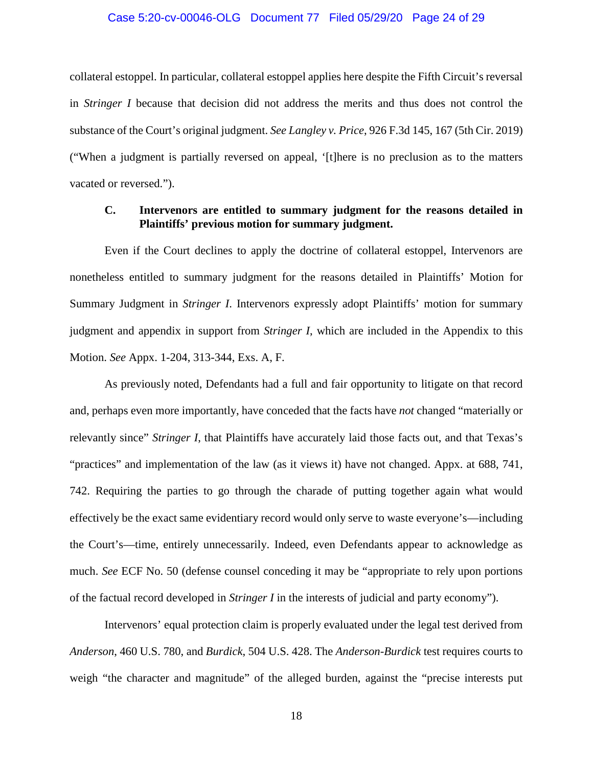#### Case 5:20-cv-00046-OLG Document 77 Filed 05/29/20 Page 24 of 29

collateral estoppel. In particular, collateral estoppel applies here despite the Fifth Circuit's reversal in *Stringer I* because that decision did not address the merits and thus does not control the substance of the Court's original judgment. *See Langley v. Price*, 926 F.3d 145, 167 (5th Cir. 2019) ("When a judgment is partially reversed on appeal, '[t]here is no preclusion as to the matters vacated or reversed.").

## <span id="page-23-3"></span><span id="page-23-0"></span>**C. Intervenors are entitled to summary judgment for the reasons detailed in Plaintiffs' previous motion for summary judgment.**

Even if the Court declines to apply the doctrine of collateral estoppel, Intervenors are nonetheless entitled to summary judgment for the reasons detailed in Plaintiffs' Motion for Summary Judgment in *Stringer I*. Intervenors expressly adopt Plaintiffs' motion for summary judgment and appendix in support from *Stringer I*, which are included in the Appendix to this Motion. *See* Appx. 1-204, 313-344, Exs. A, F.

As previously noted, Defendants had a full and fair opportunity to litigate on that record and, perhaps even more importantly, have conceded that the facts have *not* changed "materially or relevantly since" *Stringer I*, that Plaintiffs have accurately laid those facts out, and that Texas's "practices" and implementation of the law (as it views it) have not changed. Appx. at 688, 741, 742. Requiring the parties to go through the charade of putting together again what would effectively be the exact same evidentiary record would only serve to waste everyone's—including the Court's—time, entirely unnecessarily. Indeed, even Defendants appear to acknowledge as much. *See* ECF No. 50 (defense counsel conceding it may be "appropriate to rely upon portions of the factual record developed in *Stringer I* in the interests of judicial and party economy").

<span id="page-23-2"></span><span id="page-23-1"></span>Intervenors' equal protection claim is properly evaluated under the legal test derived from *Anderson*, 460 U.S. 780, and *Burdick*, 504 U.S. 428. The *Anderson-Burdick* test requires courts to weigh "the character and magnitude" of the alleged burden, against the "precise interests put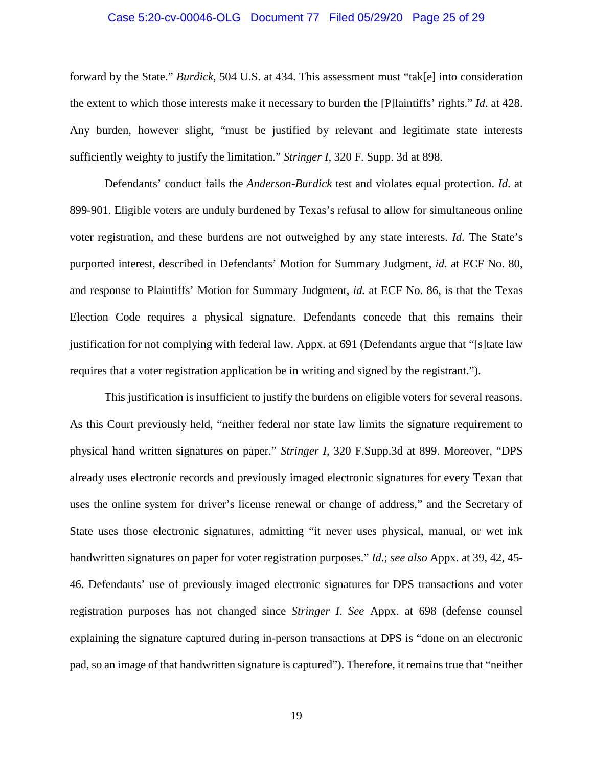#### <span id="page-24-0"></span>Case 5:20-cv-00046-OLG Document 77 Filed 05/29/20 Page 25 of 29

forward by the State." *Burdick*, 504 U.S. at 434. This assessment must "tak[e] into consideration the extent to which those interests make it necessary to burden the [P]laintiffs' rights." *Id*. at 428. Any burden, however slight, "must be justified by relevant and legitimate state interests sufficiently weighty to justify the limitation." *Stringer I*, 320 F. Supp. 3d at 898.

Defendants' conduct fails the *Anderson-Burdick* test and violates equal protection. *Id*. at 899-901. Eligible voters are unduly burdened by Texas's refusal to allow for simultaneous online voter registration, and these burdens are not outweighed by any state interests. *Id*. The State's purported interest, described in Defendants' Motion for Summary Judgment, *id.* at ECF No. 80, and response to Plaintiffs' Motion for Summary Judgment, *id.* at ECF No. 86, is that the Texas Election Code requires a physical signature. Defendants concede that this remains their justification for not complying with federal law. Appx. at 691 (Defendants argue that "[s]tate law requires that a voter registration application be in writing and signed by the registrant.").

This justification is insufficient to justify the burdens on eligible voters for several reasons. As this Court previously held, "neither federal nor state law limits the signature requirement to physical hand written signatures on paper." *Stringer I*, 320 F.Supp.3d at 899. Moreover, "DPS already uses electronic records and previously imaged electronic signatures for every Texan that uses the online system for driver's license renewal or change of address," and the Secretary of State uses those electronic signatures, admitting "it never uses physical, manual, or wet ink handwritten signatures on paper for voter registration purposes." *Id*.; *see also* Appx. at 39, 42, 45- 46. Defendants' use of previously imaged electronic signatures for DPS transactions and voter registration purposes has not changed since *Stringer I*. *See* Appx. at 698 (defense counsel explaining the signature captured during in-person transactions at DPS is "done on an electronic pad, so an image of that handwritten signature is captured"). Therefore, it remains true that "neither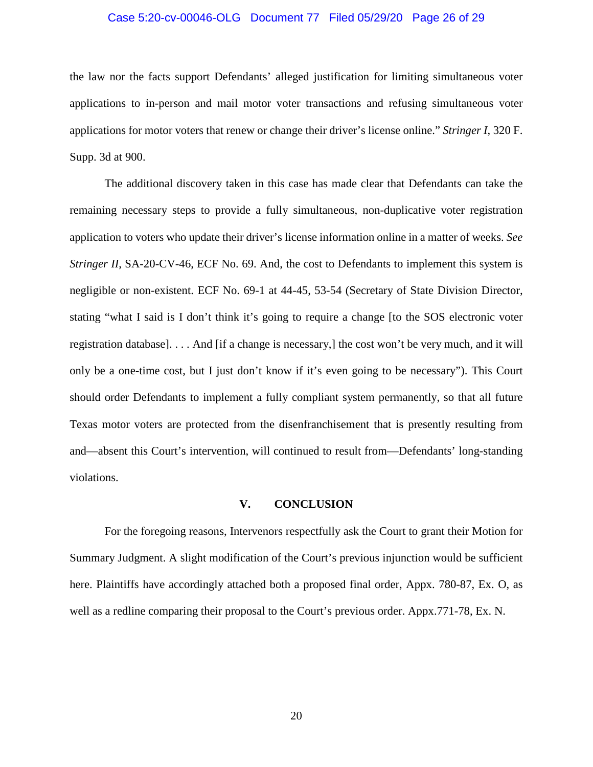#### Case 5:20-cv-00046-OLG Document 77 Filed 05/29/20 Page 26 of 29

the law nor the facts support Defendants' alleged justification for limiting simultaneous voter applications to in-person and mail motor voter transactions and refusing simultaneous voter applications for motor voters that renew or change their driver's license online." *Stringer I*, 320 F. Supp. 3d at 900.

The additional discovery taken in this case has made clear that Defendants can take the remaining necessary steps to provide a fully simultaneous, non-duplicative voter registration application to voters who update their driver's license information online in a matter of weeks. *See Stringer II*, SA-20-CV-46, ECF No. 69. And, the cost to Defendants to implement this system is negligible or non-existent. ECF No. 69-1 at 44-45, 53-54 (Secretary of State Division Director, stating "what I said is I don't think it's going to require a change [to the SOS electronic voter registration database]. . . . And [if a change is necessary,] the cost won't be very much, and it will only be a one-time cost, but I just don't know if it's even going to be necessary"). This Court should order Defendants to implement a fully compliant system permanently, so that all future Texas motor voters are protected from the disenfranchisement that is presently resulting from and—absent this Court's intervention, will continued to result from—Defendants' long-standing violations.

#### **V. CONCLUSION**

<span id="page-25-0"></span>For the foregoing reasons, Intervenors respectfully ask the Court to grant their Motion for Summary Judgment. A slight modification of the Court's previous injunction would be sufficient here. Plaintiffs have accordingly attached both a proposed final order, Appx. 780-87, Ex. O, as well as a redline comparing their proposal to the Court's previous order. Appx.771-78, Ex. N.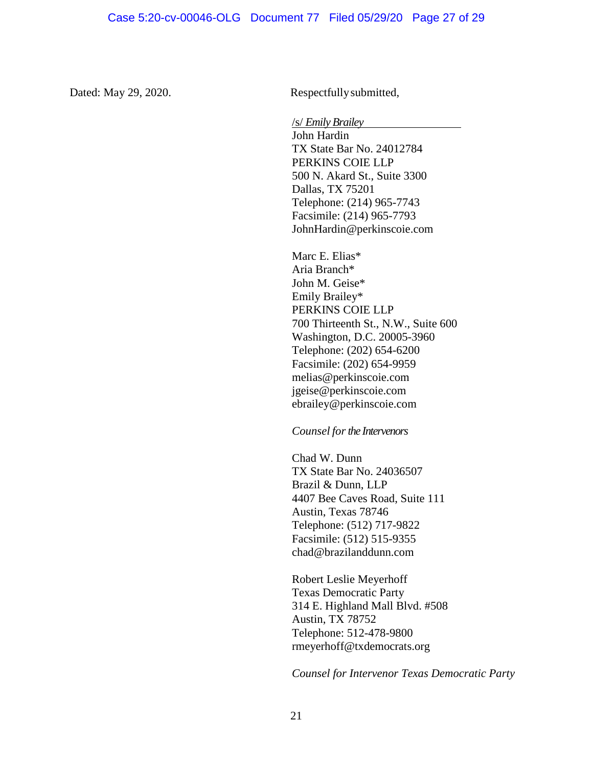Dated: May 29, 2020. Respectfully submitted,

/s/ *Emily Brailey* John Hardin TX State Bar No. 24012784 PERKINS COIE LLP 500 N. Akard St., Suite 3300 Dallas, TX 75201 Telephone: (214) 965-7743 Facsimile: (214) 965-7793 JohnHardin@perkinscoie.com

Marc E. Elias\* Aria Branch\* John M. Geise\* Emily Brailey\* PERKINS COIE LLP 700 Thirteenth St., N.W., Suite 600 Washington, D.C. 20005-3960 Telephone: (202) 654-6200 Facsimile: (202) 654-9959 melias@perkinscoie.com jgeise@perkinscoie.com ebrailey@perkinscoie.com

*Counsel forthe Intervenors*

Chad W. Dunn TX State Bar No. 24036507 Brazil & Dunn, LLP 4407 Bee Caves Road, Suite 111 Austin, Texas 78746 Telephone: (512) 717-9822 Facsimile: (512) 515-9355 chad@brazilanddunn.com

Robert Leslie Meyerhoff Texas Democratic Party 314 E. Highland Mall Blvd. #508 Austin, TX 78752 Telephone: 512-478-9800 rmeyerhoff@txdemocrats.org

*Counsel for Intervenor Texas Democratic Party*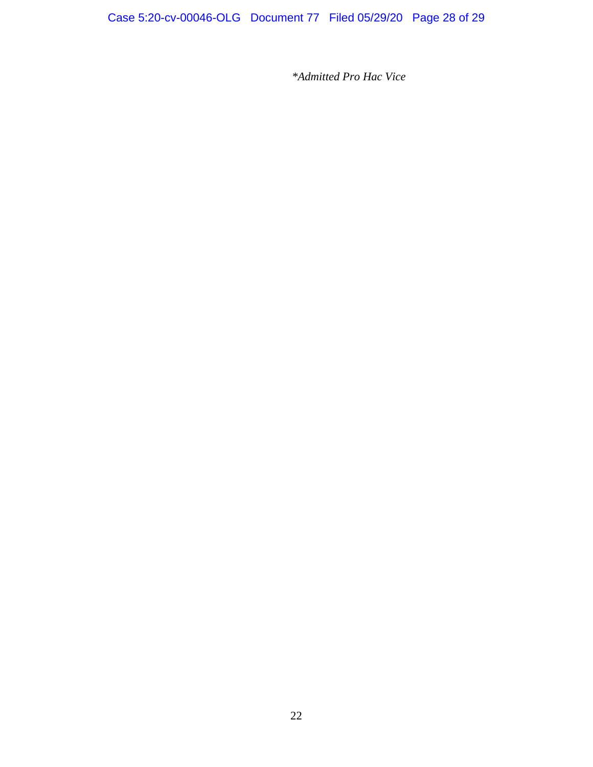*\*Admitted Pro Hac Vice*